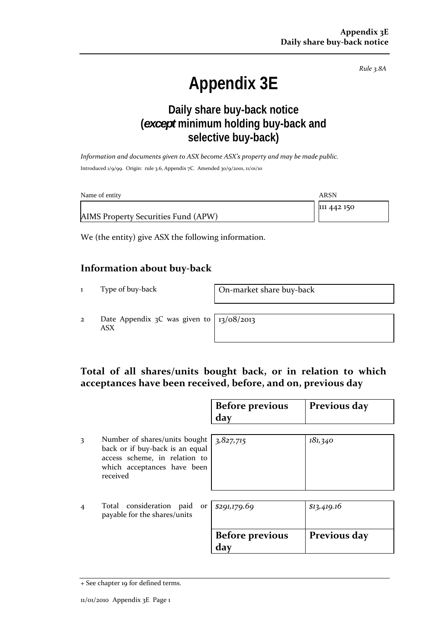*Rule 3.8A*

# **Appendix 3E**

# **Daily share buy-back notice (***except* **minimum holding buy-back and selective buy-back)**

*Information and documents given to ASX become ASX's property and may be made public.* Introduced 1/9/99. Origin: rule 3.6, Appendix 7C. Amended 30/9/2001, 11/01/10

| Name of entity                      | <b>ARSN</b> |
|-------------------------------------|-------------|
|                                     | 111 442 150 |
| AIMS Property Securities Fund (APW) |             |

We (the entity) give ASX the following information.

#### **Information about buy‐back**

1 Type of buy-back **On-market share buy-back** 

2 Date Appendix 3C was given to ASX

13/08/2013

## **Total of all shares/units bought back, or in relation to which acceptances have been received, before, and on, previous day**

|                |                                                                                                                                              | <b>Before previous</b><br>day | Previous day |
|----------------|----------------------------------------------------------------------------------------------------------------------------------------------|-------------------------------|--------------|
| 3              | Number of shares/units bought<br>back or if buy-back is an equal<br>access scheme, in relation to<br>which acceptances have been<br>received | 3,827,715                     | 181,340      |
| $\overline{4}$ | Total consideration paid or<br>payable for the shares/units                                                                                  | \$291,179.69                  | \$13,419.16  |
|                |                                                                                                                                              | <b>Before previous</b><br>day | Previous day |

<sup>+</sup> See chapter 19 for defined terms.